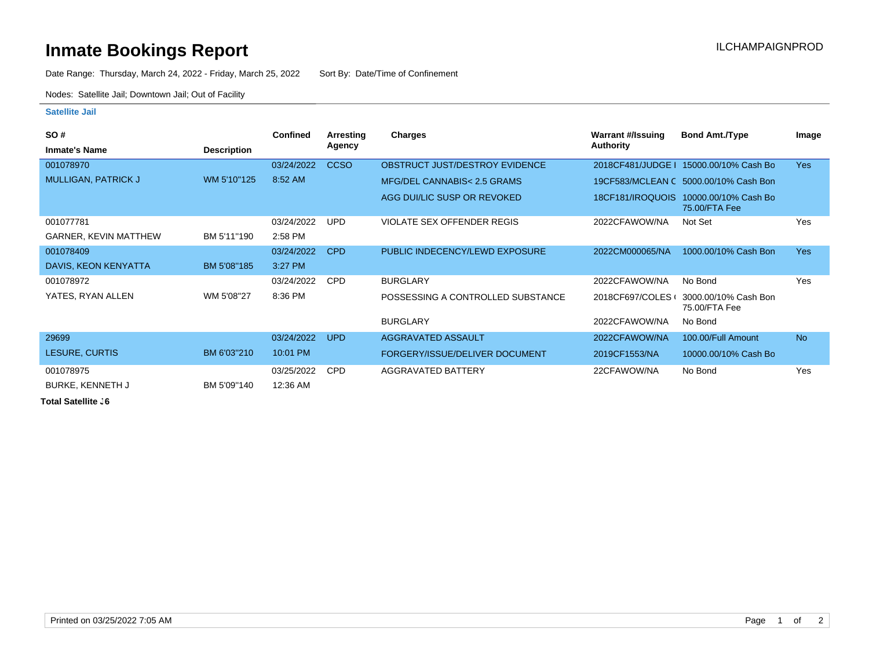## **Inmate Bookings Report Inmate Bookings Report**

Date Range: Thursday, March 24, 2022 - Friday, March 25, 2022 Sort By: Date/Time of Confinement

Nodes: Satellite Jail; Downtown Jail; Out of Facility

## **Satellite Jail**

| SO#                          |                    | <b>Confined</b> | Arresting     | <b>Charges</b>                    | Warrant #/Issuing | <b>Bond Amt./Type</b>                                  | Image      |
|------------------------------|--------------------|-----------------|---------------|-----------------------------------|-------------------|--------------------------------------------------------|------------|
| <b>Inmate's Name</b>         | <b>Description</b> |                 | <b>Agency</b> |                                   | <b>Authority</b>  |                                                        |            |
| 001078970                    |                    | 03/24/2022      | <b>CCSO</b>   | OBSTRUCT JUST/DESTROY EVIDENCE    | 2018CF481/JUDGE   | 15000.00/10% Cash Bo                                   | <b>Yes</b> |
| MULLIGAN, PATRICK J          | WM 5'10"125        | 8:52 AM         |               | MFG/DEL CANNABIS< 2.5 GRAMS       |                   | 19CF583/MCLEAN C 5000.00/10% Cash Bon                  |            |
|                              |                    |                 |               | AGG DUI/LIC SUSP OR REVOKED       |                   | 18CF181/IROQUOIS 10000.00/10% Cash Bo<br>75.00/FTA Fee |            |
| 001077781                    |                    | 03/24/2022      | <b>UPD</b>    | <b>VIOLATE SEX OFFENDER REGIS</b> | 2022CFAWOW/NA     | Not Set                                                | Yes        |
| <b>GARNER, KEVIN MATTHEW</b> | BM 5'11"190        | 2:58 PM         |               |                                   |                   |                                                        |            |
| 001078409                    |                    | 03/24/2022      | CPD           | PUBLIC INDECENCY/LEWD EXPOSURE    | 2022CM000065/NA   | 1000.00/10% Cash Bon                                   | <b>Yes</b> |
| DAVIS, KEON KENYATTA         | BM 5'08"185        | 3:27 PM         |               |                                   |                   |                                                        |            |
| 001078972                    |                    | 03/24/2022      | <b>CPD</b>    | <b>BURGLARY</b>                   | 2022CFAWOW/NA     | No Bond                                                | Yes        |
| YATES, RYAN ALLEN            | WM 5'08"27         | 8:36 PM         |               | POSSESSING A CONTROLLED SUBSTANCE | 2018CF697/COLES   | 3000.00/10% Cash Bon<br>75.00/FTA Fee                  |            |
|                              |                    |                 |               | <b>BURGLARY</b>                   | 2022CFAWOW/NA     | No Bond                                                |            |
| 29699                        |                    | 03/24/2022      | <b>UPD</b>    | AGGRAVATED ASSAULT                | 2022CFAWOW/NA     | 100.00/Full Amount                                     | <b>No</b>  |
| LESURE, CURTIS               | BM 6'03"210        | 10:01 PM        |               | FORGERY/ISSUE/DELIVER DOCUMENT    | 2019CF1553/NA     | 10000.00/10% Cash Bo                                   |            |
| 001078975                    |                    | 03/25/2022      | <b>CPD</b>    | <b>AGGRAVATED BATTERY</b>         | 22CFAWOW/NA       | No Bond                                                | Yes        |
| <b>BURKE, KENNETH J</b>      | BM 5'09"140        | 12:36 AM        |               |                                   |                   |                                                        |            |

**Total Satellite . 6**